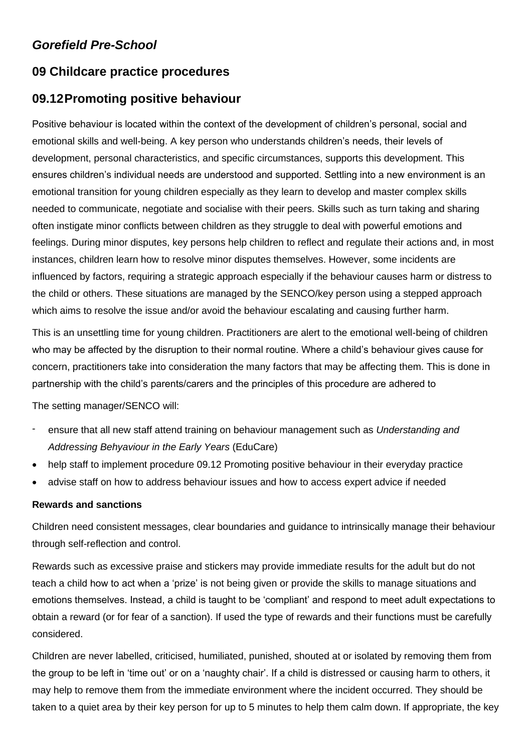# *Gorefield Pre-School*

# **09 Childcare practice procedures**

# **09.12Promoting positive behaviour**

Positive behaviour is located within the context of the development of children's personal, social and emotional skills and well-being. A key person who understands children's needs, their levels of development, personal characteristics, and specific circumstances, supports this development. This ensures children's individual needs are understood and supported. Settling into a new environment is an emotional transition for young children especially as they learn to develop and master complex skills needed to communicate, negotiate and socialise with their peers. Skills such as turn taking and sharing often instigate minor conflicts between children as they struggle to deal with powerful emotions and feelings. During minor disputes, key persons help children to reflect and regulate their actions and, in most instances, children learn how to resolve minor disputes themselves. However, some incidents are influenced by factors, requiring a strategic approach especially if the behaviour causes harm or distress to the child or others. These situations are managed by the SENCO/key person using a stepped approach which aims to resolve the issue and/or avoid the behaviour escalating and causing further harm.

This is an unsettling time for young children. Practitioners are alert to the emotional well-being of children who may be affected by the disruption to their normal routine. Where a child's behaviour gives cause for concern, practitioners take into consideration the many factors that may be affecting them. This is done in partnership with the child's parents/carers and the principles of this procedure are adhered to

The setting manager/SENCO will:

- ensure that all new staff attend training on behaviour management such as *Understanding and Addressing Behyaviour in the Early Years* (EduCare)
- help staff to implement procedure 09.12 Promoting positive behaviour in their everyday practice
- advise staff on how to address behaviour issues and how to access expert advice if needed

# **Rewards and sanctions**

Children need consistent messages, clear boundaries and guidance to intrinsically manage their behaviour through self-reflection and control.

Rewards such as excessive praise and stickers may provide immediate results for the adult but do not teach a child how to act when a 'prize' is not being given or provide the skills to manage situations and emotions themselves. Instead, a child is taught to be 'compliant' and respond to meet adult expectations to obtain a reward (or for fear of a sanction). If used the type of rewards and their functions must be carefully considered.

Children are never labelled, criticised, humiliated, punished, shouted at or isolated by removing them from the group to be left in 'time out' or on a 'naughty chair'. If a child is distressed or causing harm to others, it may help to remove them from the immediate environment where the incident occurred. They should be taken to a quiet area by their key person for up to 5 minutes to help them calm down. If appropriate, the key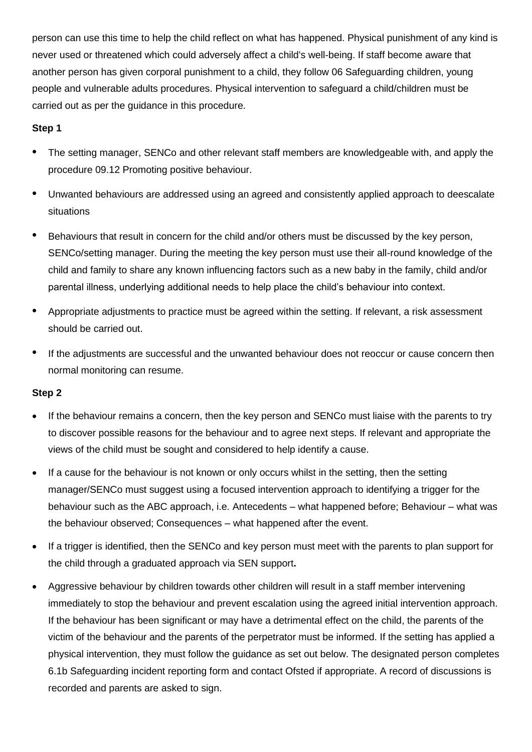person can use this time to help the child reflect on what has happened. Physical punishment of any kind is never used or threatened which could adversely affect a child's well-being. If staff become aware that another person has given corporal punishment to a child, they follow 06 Safeguarding children, young people and vulnerable adults procedures. Physical intervention to safeguard a child/children must be carried out as per the guidance in this procedure.

## **Step 1**

- The setting manager, SENCo and other relevant staff members are knowledgeable with, and apply the procedure 09.12 Promoting positive behaviour.
- Unwanted behaviours are addressed using an agreed and consistently applied approach to deescalate situations
- Behaviours that result in concern for the child and/or others must be discussed by the key person, SENCo/setting manager. During the meeting the key person must use their all-round knowledge of the child and family to share any known influencing factors such as a new baby in the family, child and/or parental illness, underlying additional needs to help place the child's behaviour into context.
- Appropriate adjustments to practice must be agreed within the setting. If relevant, a risk assessment should be carried out.
- If the adjustments are successful and the unwanted behaviour does not reoccur or cause concern then normal monitoring can resume.

## **Step 2**

- If the behaviour remains a concern, then the key person and SENCo must liaise with the parents to try to discover possible reasons for the behaviour and to agree next steps. If relevant and appropriate the views of the child must be sought and considered to help identify a cause.
- If a cause for the behaviour is not known or only occurs whilst in the setting, then the setting manager/SENCo must suggest using a focused intervention approach to identifying a trigger for the behaviour such as the ABC approach, i.e. Antecedents – what happened before; Behaviour – what was the behaviour observed; Consequences – what happened after the event.
- If a trigger is identified, then the SENCo and key person must meet with the parents to plan support for the child through a graduated approach via SEN support**.**
- Aggressive behaviour by children towards other children will result in a staff member intervening immediately to stop the behaviour and prevent escalation using the agreed initial intervention approach. If the behaviour has been significant or may have a detrimental effect on the child, the parents of the victim of the behaviour and the parents of the perpetrator must be informed. If the setting has applied a physical intervention, they must follow the guidance as set out below. The designated person completes 6.1b Safeguarding incident reporting form and contact Ofsted if appropriate. A record of discussions is recorded and parents are asked to sign.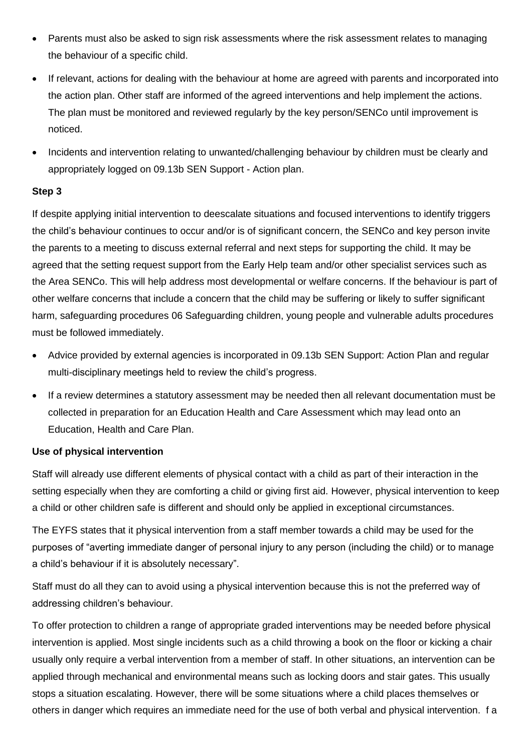- Parents must also be asked to sign risk assessments where the risk assessment relates to managing the behaviour of a specific child.
- If relevant, actions for dealing with the behaviour at home are agreed with parents and incorporated into the action plan. Other staff are informed of the agreed interventions and help implement the actions. The plan must be monitored and reviewed regularly by the key person/SENCo until improvement is noticed.
- Incidents and intervention relating to unwanted/challenging behaviour by children must be clearly and appropriately logged on 09.13b SEN Support - Action plan.

## **Step 3**

If despite applying initial intervention to deescalate situations and focused interventions to identify triggers the child's behaviour continues to occur and/or is of significant concern, the SENCo and key person invite the parents to a meeting to discuss external referral and next steps for supporting the child. It may be agreed that the setting request support from the Early Help team and/or other specialist services such as the Area SENCo. This will help address most developmental or welfare concerns. If the behaviour is part of other welfare concerns that include a concern that the child may be suffering or likely to suffer significant harm, safeguarding procedures 06 Safeguarding children, young people and vulnerable adults procedures must be followed immediately.

- Advice provided by external agencies is incorporated in 09.13b SEN Support: Action Plan and regular multi-disciplinary meetings held to review the child's progress.
- If a review determines a statutory assessment may be needed then all relevant documentation must be collected in preparation for an Education Health and Care Assessment which may lead onto an Education, Health and Care Plan.

## **Use of physical intervention**

Staff will already use different elements of physical contact with a child as part of their interaction in the setting especially when they are comforting a child or giving first aid. However, physical intervention to keep a child or other children safe is different and should only be applied in exceptional circumstances.

The EYFS states that it physical intervention from a staff member towards a child may be used for the purposes of "averting immediate danger of personal injury to any person (including the child) or to manage a child's behaviour if it is absolutely necessary".

Staff must do all they can to avoid using a physical intervention because this is not the preferred way of addressing children's behaviour.

To offer protection to children a range of appropriate graded interventions may be needed before physical intervention is applied. Most single incidents such as a child throwing a book on the floor or kicking a chair usually only require a verbal intervention from a member of staff. In other situations, an intervention can be applied through mechanical and environmental means such as locking doors and stair gates. This usually stops a situation escalating. However, there will be some situations where a child places themselves or others in danger which requires an immediate need for the use of both verbal and physical intervention. f a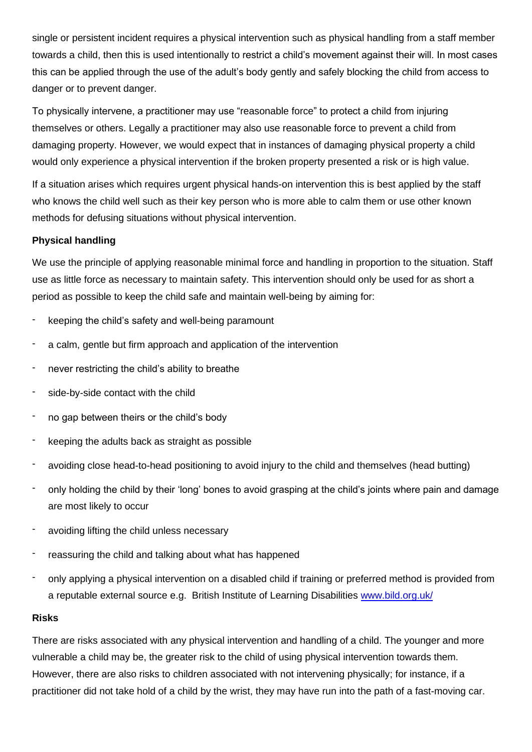single or persistent incident requires a physical intervention such as physical handling from a staff member towards a child, then this is used intentionally to restrict a child's movement against their will. In most cases this can be applied through the use of the adult's body gently and safely blocking the child from access to danger or to prevent danger.

To physically intervene, a practitioner may use "reasonable force" to protect a child from injuring themselves or others. Legally a practitioner may also use reasonable force to prevent a child from damaging property. However, we would expect that in instances of damaging physical property a child would only experience a physical intervention if the broken property presented a risk or is high value.

If a situation arises which requires urgent physical hands-on intervention this is best applied by the staff who knows the child well such as their key person who is more able to calm them or use other known methods for defusing situations without physical intervention.

#### **Physical handling**

We use the principle of applying reasonable minimal force and handling in proportion to the situation. Staff use as little force as necessary to maintain safety. This intervention should only be used for as short a period as possible to keep the child safe and maintain well-being by aiming for:

- keeping the child's safety and well-being paramount
- a calm, gentle but firm approach and application of the intervention
- never restricting the child's ability to breathe
- side-by-side contact with the child
- no gap between theirs or the child's body
- keeping the adults back as straight as possible
- avoiding close head-to-head positioning to avoid injury to the child and themselves (head butting)
- only holding the child by their 'long' bones to avoid grasping at the child's joints where pain and damage are most likely to occur
- avoiding lifting the child unless necessary
- reassuring the child and talking about what has happened
- only applying a physical intervention on a disabled child if training or preferred method is provided from a reputable external source e.g. British Institute of Learning Disabilities [www.bild.org.uk/](http://www.bild.org.uk/)

#### **Risks**

There are risks associated with any physical intervention and handling of a child. The younger and more vulnerable a child may be, the greater risk to the child of using physical intervention towards them. However, there are also risks to children associated with not intervening physically; for instance, if a practitioner did not take hold of a child by the wrist, they may have run into the path of a fast-moving car.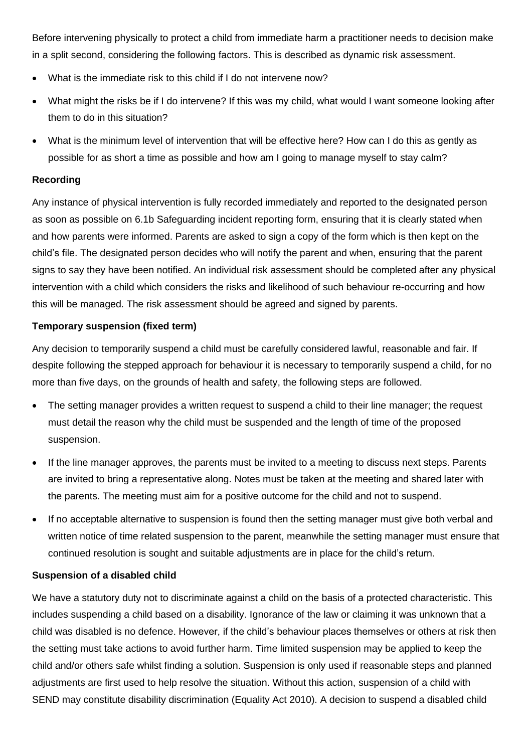Before intervening physically to protect a child from immediate harm a practitioner needs to decision make in a split second, considering the following factors. This is described as dynamic risk assessment.

- What is the immediate risk to this child if I do not intervene now?
- What might the risks be if I do intervene? If this was my child, what would I want someone looking after them to do in this situation?
- What is the minimum level of intervention that will be effective here? How can I do this as gently as possible for as short a time as possible and how am I going to manage myself to stay calm?

## **Recording**

Any instance of physical intervention is fully recorded immediately and reported to the designated person as soon as possible on 6.1b Safeguarding incident reporting form, ensuring that it is clearly stated when and how parents were informed. Parents are asked to sign a copy of the form which is then kept on the child's file. The designated person decides who will notify the parent and when, ensuring that the parent signs to say they have been notified. An individual risk assessment should be completed after any physical intervention with a child which considers the risks and likelihood of such behaviour re-occurring and how this will be managed. The risk assessment should be agreed and signed by parents.

### **Temporary suspension (fixed term)**

Any decision to temporarily suspend a child must be carefully considered lawful, reasonable and fair. If despite following the stepped approach for behaviour it is necessary to temporarily suspend a child, for no more than five days, on the grounds of health and safety, the following steps are followed.

- The setting manager provides a written request to suspend a child to their line manager; the request must detail the reason why the child must be suspended and the length of time of the proposed suspension.
- If the line manager approves, the parents must be invited to a meeting to discuss next steps. Parents are invited to bring a representative along. Notes must be taken at the meeting and shared later with the parents. The meeting must aim for a positive outcome for the child and not to suspend.
- If no acceptable alternative to suspension is found then the setting manager must give both verbal and written notice of time related suspension to the parent, meanwhile the setting manager must ensure that continued resolution is sought and suitable adjustments are in place for the child's return.

## **Suspension of a disabled child**

We have a statutory duty not to discriminate against a child on the basis of a protected characteristic. This includes suspending a child based on a disability. Ignorance of the law or claiming it was unknown that a child was disabled is no defence. However, if the child's behaviour places themselves or others at risk then the setting must take actions to avoid further harm. Time limited suspension may be applied to keep the child and/or others safe whilst finding a solution. Suspension is only used if reasonable steps and planned adjustments are first used to help resolve the situation. Without this action, suspension of a child with SEND may constitute disability discrimination (Equality Act 2010). A decision to suspend a disabled child